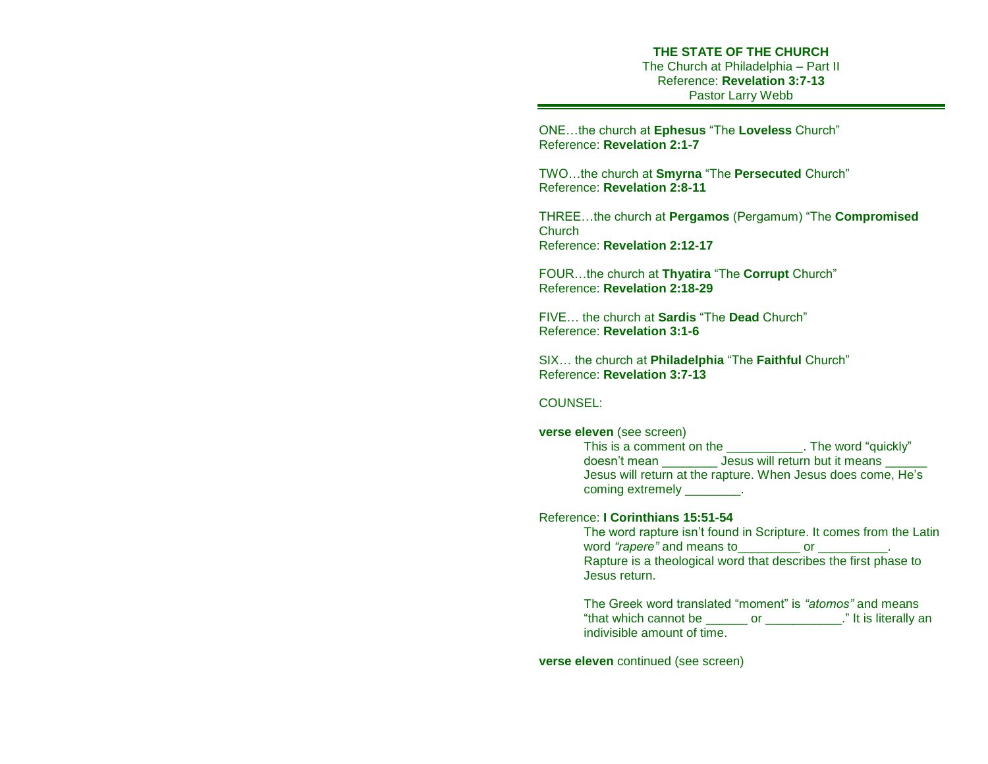# **THE STATE OF THE CHURCH**

The Church at Philadelphia – Part II Reference: **Revelation 3:7-13** Pastor Larry Webb

ONE…the church at **Ephesus** "The **Loveless** Church" Reference: **Revelation 2:1-7** 

TWO…the church at **Smyrna** "The **Persecuted** Church" Reference: **Revelation 2:8-11**

THREE…the church at **Pergamos** (Pergamum) "The **Compromised Church** Reference: **Revelation 2:12-17**

FOUR…the church at **Thyatira** "The **Corrupt** Church" Reference: **Revelation 2:18-29** 

FIVE… the church at **Sardis** "The **Dead** Church" Reference: **Revelation 3:1-6**

SIX… the church at **Philadelphia** "The **Faithful** Church" Reference: **Revelation 3:7-13**

### COUNSEL:

#### **verse eleven** (see screen)

This is a comment on the \_\_\_\_\_\_\_\_\_\_\_. The word "quickly" doesn't mean \_\_\_\_\_\_\_\_ Jesus will return but it means \_\_\_\_\_\_ Jesus will return at the rapture. When Jesus does come, He's coming extremely only a set of the coming extremely

### Reference: **I Corinthians 15:51-54**

The word rapture isn't found in Scripture. It comes from the Latin word *"rapere"* and means to\_\_\_\_\_\_\_\_\_ or \_\_\_\_\_\_\_\_\_\_. Rapture is a theological word that describes the first phase to Jesus return.

The Greek word translated "moment" is *"atomos"* and means "that which cannot be \_\_\_\_\_\_ or \_\_\_\_\_\_\_\_\_\_\_." It is literally an indivisible amount of time.

**verse eleven** continued (see screen)